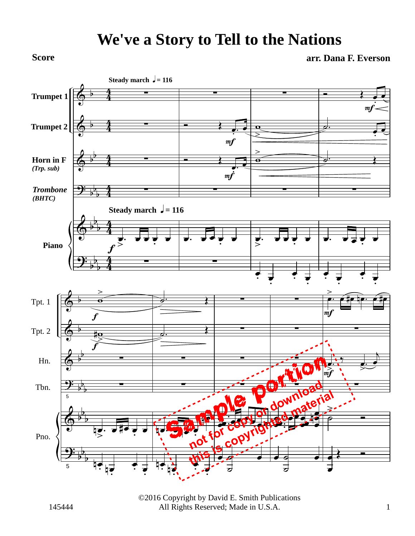## **We've a Story to Tell to the Nations**

**Score arr. Dana F. Everson**



145444 1 All Rights Reserved; Made in U.S.A. ©2016 Copyright by David E. Smith Publications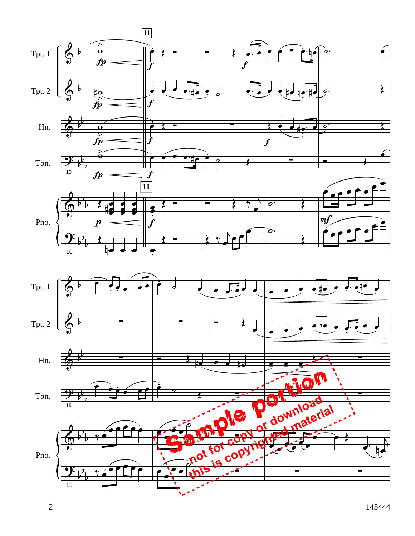

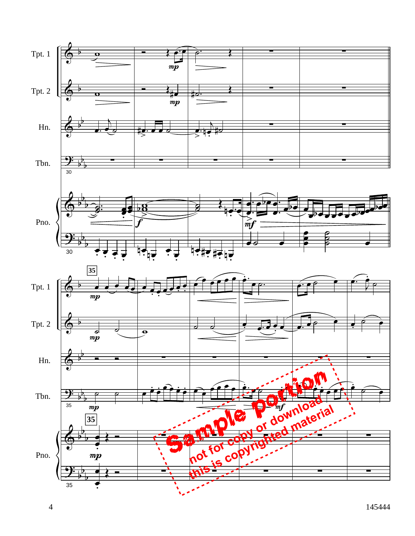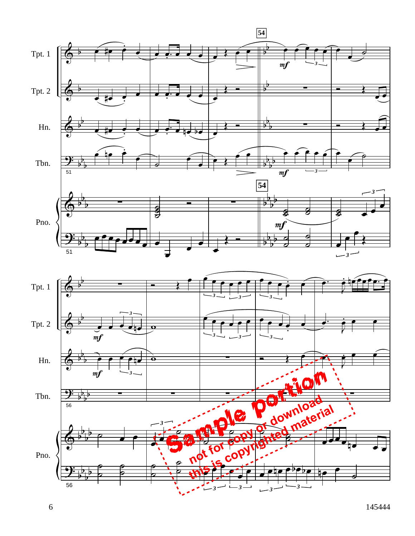